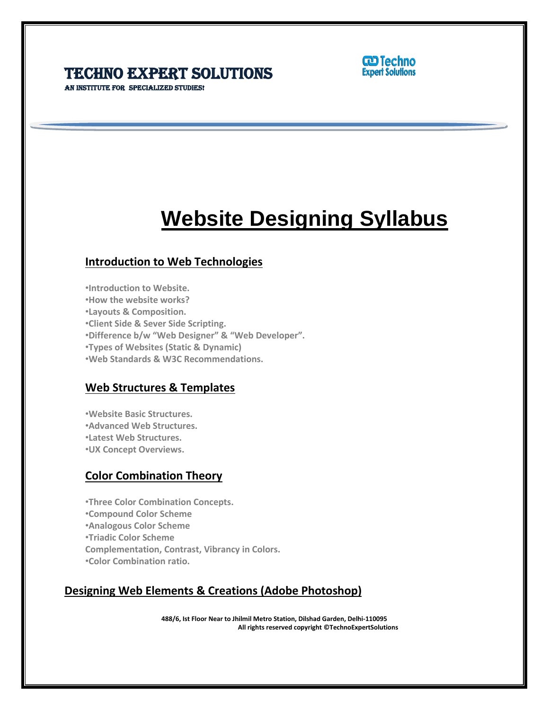### Techno Expert Solutions AN INSTITUTE FOR SPECIALIZED STUDIES!



# **Website Designing Syllabus**

 $\overline{a}$ 

### **Introduction to Web Technologies**

•**Introduction to Website.**

•**How the website works?**

•**Layouts & Composition.**

•**Client Side & Sever Side Scripting.**

•**Difference b/w "Web Designer" & "Web Developer".**

•**Types of Websites (Static & Dynamic)**

•**Web Standards & W3C Recommendations.**

### **Web Structures & Templates**

•**Website Basic Structures.** •**Advanced Web Structures.**

•**Latest Web Structures.**

•**UX Concept Overviews.**

### **Color Combination Theory**

•**Three Color Combination Concepts.** •**Compound Color Scheme** •**Analogous Color Scheme** •**Triadic Color Scheme Complementation, Contrast, Vibrancy in Colors.** •**Color Combination ratio.**

## **Designing Web Elements & Creations (Adobe Photoshop)**

**488/6, Ist Floor Near to Jhilmil Metro Station, Dilshad Garden, Delhi-110095 All rights reserved copyright ©TechnoExpertSolutions**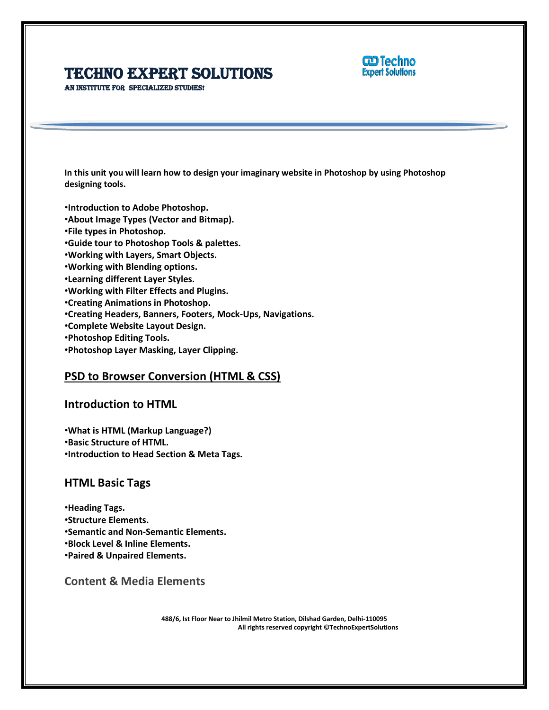

AN INSTITUTE FOR SPECIALIZED STUDIES!

**In this unit you will learn how to design your imaginary website in Photoshop by using Photoshop designing tools.**

 $\overline{a}$ 

•**Introduction to Adobe Photoshop.** •**About Image Types (Vector and Bitmap).** •**File types in Photoshop.** •**Guide tour to Photoshop Tools & palettes.** •**Working with Layers, Smart Objects.** •**Working with Blending options.** •**Learning different Layer Styles.** •**Working with Filter Effects and Plugins.** •**Creating Animations in Photoshop.** •**Creating Headers, Banners, Footers, Mock-Ups, Navigations.** •**Complete Website Layout Design.** •**Photoshop Editing Tools.**

•**Photoshop Layer Masking, Layer Clipping.**

### **PSD to Browser Conversion (HTML & CSS)**

#### **Introduction to HTML**

•**What is HTML (Markup Language?)** •**Basic Structure of HTML.** •**Introduction to Head Section & Meta Tags.**

#### **HTML Basic Tags**

•**Heading Tags.** •**Structure Elements.** •**Semantic and Non-Semantic Elements.** •**Block Level & Inline Elements.** •**Paired & Unpaired Elements.**

**Content & Media Elements**

**488/6, Ist Floor Near to Jhilmil Metro Station, Dilshad Garden, Delhi-110095 All rights reserved copyright ©TechnoExpertSolutions**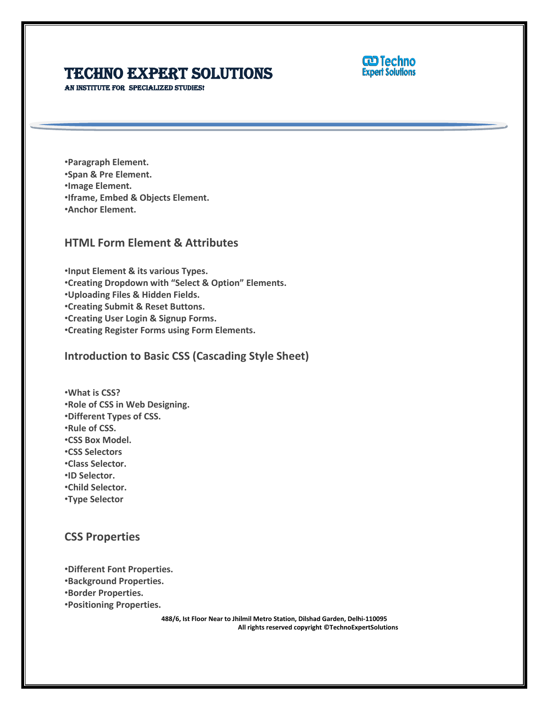

AN INSTITUTE FOR SPECIALIZED STUDIES!

•**Paragraph Element.** •**Span & Pre Element.** •**Image Element.** •**Iframe, Embed & Objects Element.** •**Anchor Element.**

### **HTML Form Element & Attributes**

•**Input Element & its various Types.** •**Creating Dropdown with "Select & Option" Elements.** •**Uploading Files & Hidden Fields.** •**Creating Submit & Reset Buttons.** •**Creating User Login & Signup Forms.** •**Creating Register Forms using Form Elements.**

**Introduction to Basic CSS (Cascading Style Sheet)**

•**What is CSS?** •**Role of CSS in Web Designing.** •**Different Types of CSS.** •**Rule of CSS.** •**CSS Box Model.** •**CSS Selectors** •**Class Selector.** •**ID Selector.** •**Child Selector.**

•**Type Selector**

**CSS Properties**

•**Different Font Properties.**

•**Background Properties.**

•**Border Properties.**

•**Positioning Properties.**

**488/6, Ist Floor Near to Jhilmil Metro Station, Dilshad Garden, Delhi-110095 All rights reserved copyright ©TechnoExpertSolutions**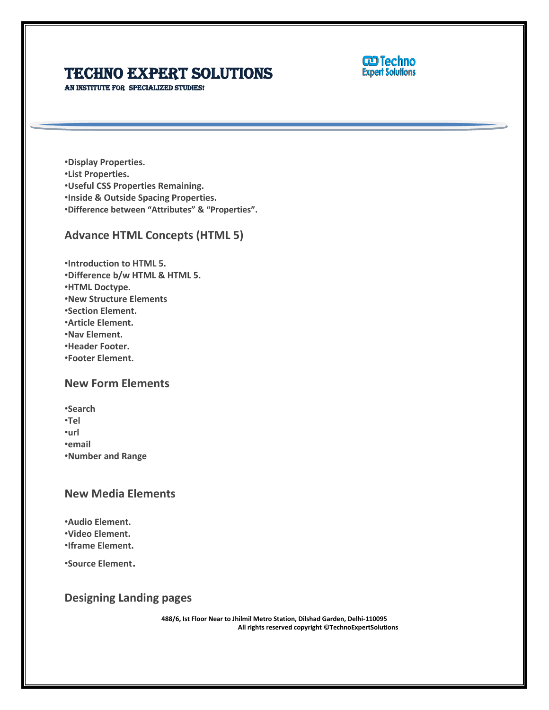

AN INSTITUTE FOR SPECIALIZED STUDIES!

•**Display Properties.** •**List Properties.** •**Useful CSS Properties Remaining.** •**Inside & Outside Spacing Properties.** •**Difference between "Attributes" & "Properties".**

### **Advance HTML Concepts (HTML 5)**

•**Introduction to HTML 5.** •**Difference b/w HTML & HTML 5.** •**HTML Doctype.** •**New Structure Elements** •**Section Element.** •**Article Element.** •**Nav Element.** •**Header Footer.** •**Footer Element.**

### **New Form Elements**

•**Search**

•**Tel**

•**url**

•**email**

•**Number and Range**

### **New Media Elements**

•**Audio Element.** •**Video Element.** •**Iframe Element.**

•**Source Element**.

### **Designing Landing pages**

**488/6, Ist Floor Near to Jhilmil Metro Station, Dilshad Garden, Delhi-110095 All rights reserved copyright ©TechnoExpertSolutions**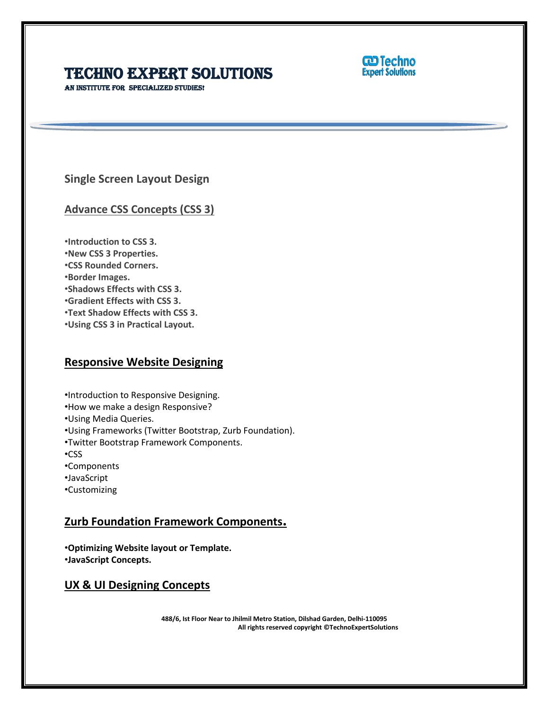

AN INSTITUTE FOR SPECIALIZED STUDIES!

**Single Screen Layout Design**

**Advance CSS Concepts (CSS 3)**

•**Introduction to CSS 3.**

- •**New CSS 3 Properties.**
- •**CSS Rounded Corners.**
- •**Border Images.**
- •**Shadows Effects with CSS 3.**
- •**Gradient Effects with CSS 3.**
- •**Text Shadow Effects with CSS 3.**
- •**Using CSS 3 in Practical Layout.**

## **Responsive Website Designing**

•Introduction to Responsive Designing.

- •How we make a design Responsive?
- •Using Media Queries.
- •Using Frameworks (Twitter Bootstrap, Zurb Foundation).
- •Twitter Bootstrap Framework Components.
- •CSS
- •Components
- •JavaScript
- •Customizing

# **Zurb Foundation Framework Components.**

•**Optimizing Website layout or Template.** •**JavaScript Concepts.**

## **UX & UI Designing Concepts**

**488/6, Ist Floor Near to Jhilmil Metro Station, Dilshad Garden, Delhi-110095 All rights reserved copyright ©TechnoExpertSolutions**